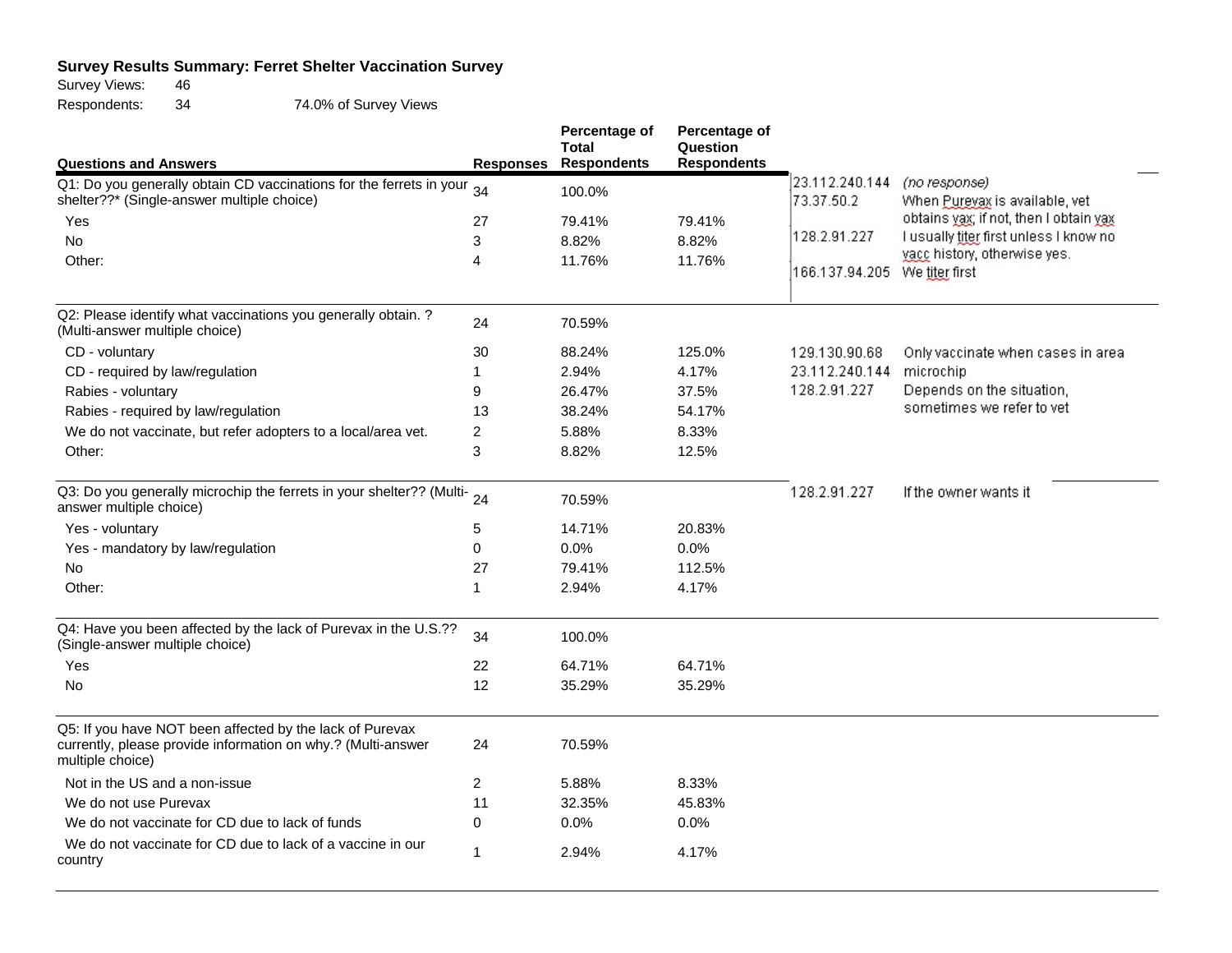## **Survey Results Summary: Ferret Shelter Vaccination Survey**<br>Survey Views: 46

Survey Views: 46<br>Respondents: 34 Respondents: 34 74.0% of Survey Views

|                                                                                                                                              |                  | Percentage of<br><b>Total</b> | Percentage of<br>Question |                               |                                                 |
|----------------------------------------------------------------------------------------------------------------------------------------------|------------------|-------------------------------|---------------------------|-------------------------------|-------------------------------------------------|
| <b>Questions and Answers</b>                                                                                                                 | <b>Responses</b> | <b>Respondents</b>            | <b>Respondents</b>        |                               |                                                 |
| Q1: Do you generally obtain CD vaccinations for the ferrets in your<br>shelter??* (Single-answer multiple choice)                            | 34               | 100.0%                        |                           | 23.112.240.144<br>73.37.50.2  | (no response)<br>When Pureyax is available, vet |
| Yes                                                                                                                                          | 27               | 79.41%                        | 79.41%                    |                               | obtains yax; if not, then I obtain yax          |
| <b>No</b>                                                                                                                                    | 3                | 8.82%                         | 8.82%                     | 128.2.91.227                  | I usually titer first unless I know no          |
| Other:                                                                                                                                       | 4                | 11.76%                        | 11.76%                    | 166.137.94.205 We titer first | yacc history, otherwise yes.                    |
| Q2: Please identify what vaccinations you generally obtain. ?<br>(Multi-answer multiple choice)                                              | 24               | 70.59%                        |                           |                               |                                                 |
| CD - voluntary                                                                                                                               | 30               | 88.24%                        | 125.0%                    | 129.130.90.68                 | Only vaccinate when cases in area               |
| CD - required by law/regulation                                                                                                              | 1                | 2.94%                         | 4.17%                     | 23.112.240.144                | microchip                                       |
| Rabies - voluntary                                                                                                                           | 9                | 26.47%                        | 37.5%                     | 128.2.91.227                  | Depends on the situation,                       |
| Rabies - required by law/regulation                                                                                                          | 13               | 38.24%                        | 54.17%                    |                               | sometimes we refer to vet                       |
| We do not vaccinate, but refer adopters to a local/area vet.                                                                                 | 2                | 5.88%                         | 8.33%                     |                               |                                                 |
| Other:                                                                                                                                       | 3                | 8.82%                         | 12.5%                     |                               |                                                 |
| Q3: Do you generally microchip the ferrets in your shelter?? (Multi- 24<br>answer multiple choice)                                           |                  | 70.59%                        |                           | 128.2.91.227                  | If the owner wants it                           |
| Yes - voluntary                                                                                                                              | 5                | 14.71%                        | 20.83%                    |                               |                                                 |
| Yes - mandatory by law/regulation                                                                                                            | 0                | 0.0%                          | 0.0%                      |                               |                                                 |
| No                                                                                                                                           | 27               | 79.41%                        | 112.5%                    |                               |                                                 |
| Other:                                                                                                                                       | 1                | 2.94%                         | 4.17%                     |                               |                                                 |
| Q4: Have you been affected by the lack of Purevax in the U.S.??<br>(Single-answer multiple choice)                                           | 34               | 100.0%                        |                           |                               |                                                 |
| Yes                                                                                                                                          | 22               | 64.71%                        | 64.71%                    |                               |                                                 |
| <b>No</b>                                                                                                                                    | 12               | 35.29%                        | 35.29%                    |                               |                                                 |
| Q5: If you have NOT been affected by the lack of Purevax<br>currently, please provide information on why.? (Multi-answer<br>multiple choice) | 24               | 70.59%                        |                           |                               |                                                 |
| Not in the US and a non-issue                                                                                                                | $\overline{2}$   | 5.88%                         | 8.33%                     |                               |                                                 |
| We do not use Purevax                                                                                                                        | 11               | 32.35%                        | 45.83%                    |                               |                                                 |
| We do not vaccinate for CD due to lack of funds                                                                                              | 0                | 0.0%                          | 0.0%                      |                               |                                                 |
| We do not vaccinate for CD due to lack of a vaccine in our<br>country                                                                        | 1                | 2.94%                         | 4.17%                     |                               |                                                 |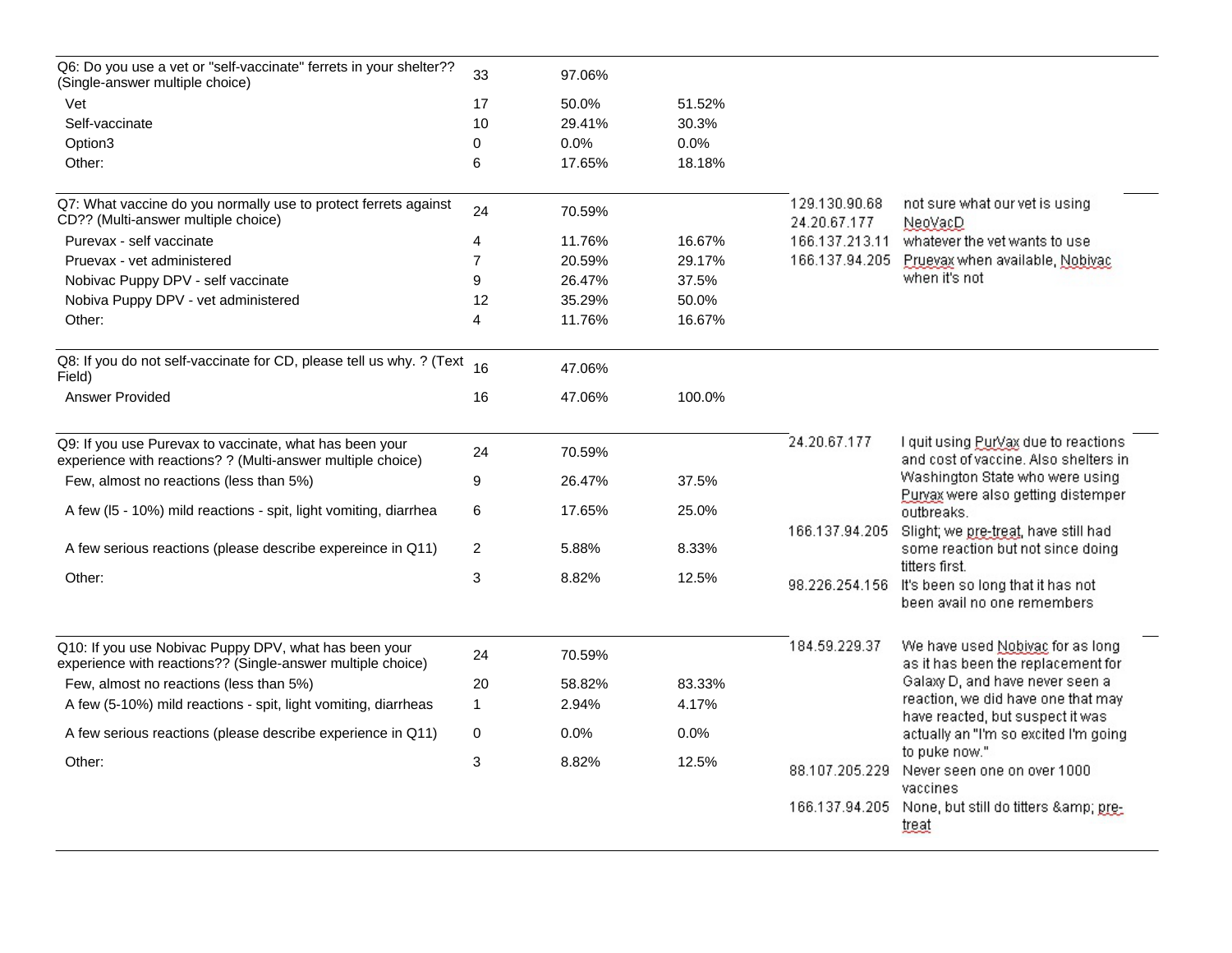| Q6: Do you use a vet or "self-vaccinate" ferrets in your shelter??<br>(Single-answer multiple choice)                  | 33             | 97.06% |        |                               |                                                                                                   |
|------------------------------------------------------------------------------------------------------------------------|----------------|--------|--------|-------------------------------|---------------------------------------------------------------------------------------------------|
| Vet                                                                                                                    | 17             | 50.0%  | 51.52% |                               |                                                                                                   |
| Self-vaccinate                                                                                                         | 10             | 29.41% | 30.3%  |                               |                                                                                                   |
| Option3                                                                                                                | $\Omega$       | 0.0%   | 0.0%   |                               |                                                                                                   |
| Other:                                                                                                                 | 6              | 17.65% | 18.18% |                               |                                                                                                   |
| Q7: What vaccine do you normally use to protect ferrets against<br>CD?? (Multi-answer multiple choice)                 | 24             | 70.59% |        | 129.130.90.68<br>24.20.67.177 | not sure what our vet is using<br>NeoVacD                                                         |
| Purevax - self vaccinate                                                                                               | 4              | 11.76% | 16.67% | 166.137.213.11                | whatever the vet wants to use                                                                     |
| Pruevax - vet administered                                                                                             | $\overline{7}$ | 20.59% | 29.17% | 166.137.94.205                | Prueyax when available, Nobiyac                                                                   |
| Nobivac Puppy DPV - self vaccinate                                                                                     | 9              | 26.47% | 37.5%  |                               | when it's not                                                                                     |
| Nobiva Puppy DPV - vet administered                                                                                    | 12             | 35.29% | 50.0%  |                               |                                                                                                   |
| Other:                                                                                                                 | 4              | 11.76% | 16.67% |                               |                                                                                                   |
| Q8: If you do not self-vaccinate for CD, please tell us why. ? (Text<br>Field)                                         | 16             | 47.06% |        |                               |                                                                                                   |
| <b>Answer Provided</b>                                                                                                 | 16             | 47.06% | 100.0% |                               |                                                                                                   |
| Q9: If you use Purevax to vaccinate, what has been your<br>experience with reactions? ? (Multi-answer multiple choice) | 24             | 70.59% |        | 24.20.67.177                  | I quit using Puryax due to reactions<br>and cost of vaccine. Also shelters in                     |
| Few, almost no reactions (less than 5%)                                                                                | 9              | 26.47% | 37.5%  |                               | Washington State who were using                                                                   |
| A few (I5 - 10%) mild reactions - spit, light vomiting, diarrhea                                                       | 6              | 17.65% | 25.0%  |                               | Purvax were also getting distemper<br>outbreaks.                                                  |
| A few serious reactions (please describe expereince in Q11)                                                            | 2              | 5.88%  | 8.33%  |                               | 166.137.94.205 Slight; we pre-treat, have still had<br>some reaction but not since doing          |
| Other:                                                                                                                 | 3              | 8.82%  | 12.5%  |                               | titters first.<br>98.226.254.156 It's been so long that it has not<br>been avail no one remembers |
| Q10: If you use Nobivac Puppy DPV, what has been your<br>experience with reactions?? (Single-answer multiple choice)   | 24             | 70.59% |        | 184.59.229.37                 | We have used Nobivac for as long<br>as it has been the replacement for                            |
| Few, almost no reactions (less than 5%)                                                                                | 20             | 58.82% | 83.33% |                               | Galaxy D, and have never seen a                                                                   |
| A few (5-10%) mild reactions - spit, light vomiting, diarrheas                                                         | $\mathbf{1}$   | 2.94%  | 4.17%  |                               | reaction, we did have one that may                                                                |
| A few serious reactions (please describe experience in Q11)                                                            | $\mathbf 0$    | 0.0%   | 0.0%   |                               | have reacted, but suspect it was<br>actually an "I'm so excited I'm going                         |
| Other:                                                                                                                 | 3              | 8.82%  | 12.5%  | 88.107.205.229                | to puke now."<br>Never seen one on over 1000<br>vaccines                                          |
|                                                                                                                        |                |        |        |                               | 166.137.94.205 None, but still do titters & pre-<br>treat                                         |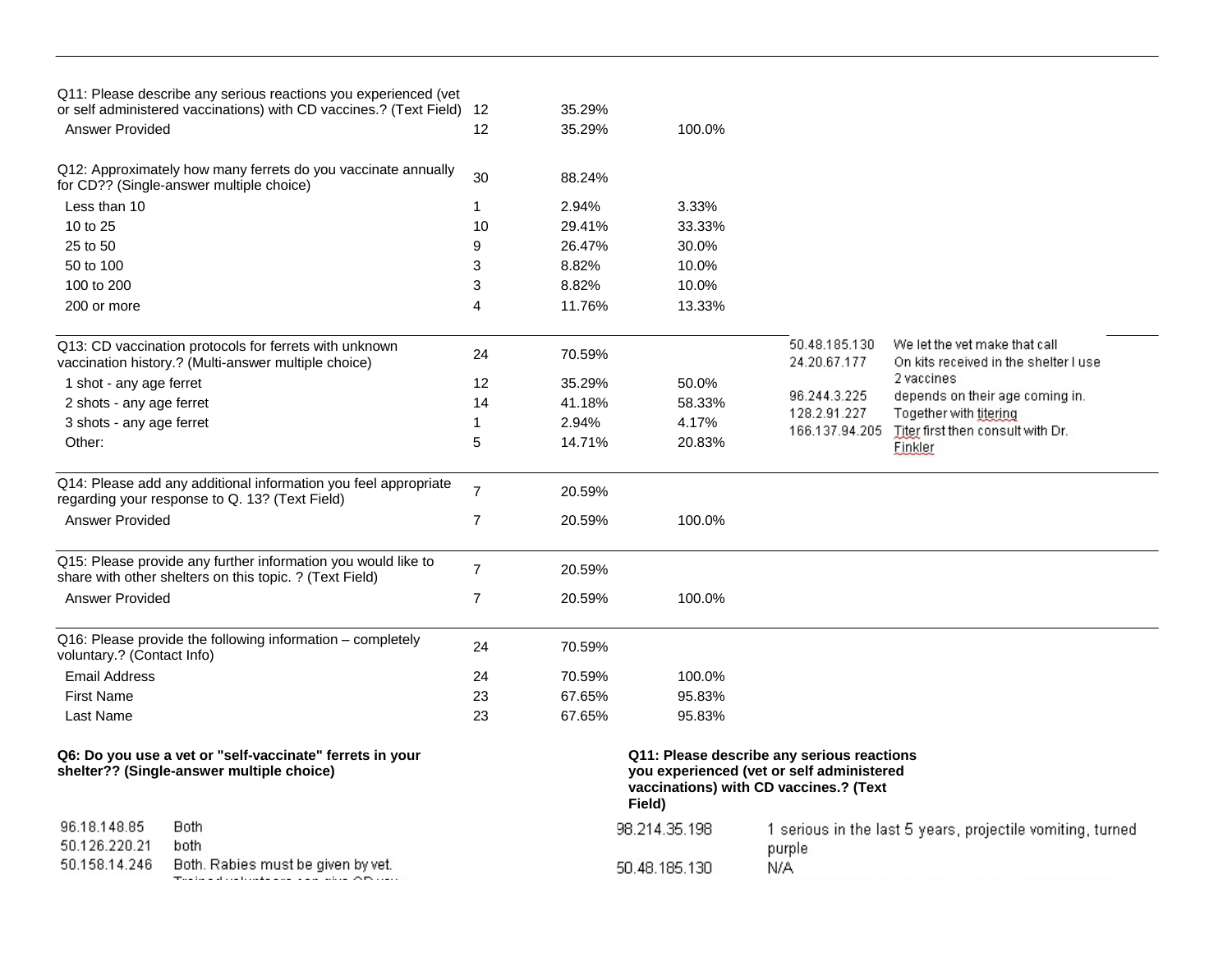|                               | Q11: Please describe any serious reactions you experienced (vet<br>or self administered vaccinations) with CD vaccines.? (Text Field) 12 |                | 35.29% |               |                                                                                                                                   |                                                                        |
|-------------------------------|------------------------------------------------------------------------------------------------------------------------------------------|----------------|--------|---------------|-----------------------------------------------------------------------------------------------------------------------------------|------------------------------------------------------------------------|
| <b>Answer Provided</b>        |                                                                                                                                          | 12             | 35.29% | 100.0%        |                                                                                                                                   |                                                                        |
|                               | Q12: Approximately how many ferrets do you vaccinate annually<br>for CD?? (Single-answer multiple choice)                                | 30             | 88.24% |               |                                                                                                                                   |                                                                        |
| Less than 10                  |                                                                                                                                          | 1              | 2.94%  | 3.33%         |                                                                                                                                   |                                                                        |
| 10 to 25                      |                                                                                                                                          | 10             | 29.41% | 33.33%        |                                                                                                                                   |                                                                        |
| 25 to 50                      |                                                                                                                                          | 9              | 26.47% | 30.0%         |                                                                                                                                   |                                                                        |
| 50 to 100                     |                                                                                                                                          | 3              | 8.82%  | 10.0%         |                                                                                                                                   |                                                                        |
| 100 to 200                    |                                                                                                                                          | 3              | 8.82%  | 10.0%         |                                                                                                                                   |                                                                        |
| 200 or more                   |                                                                                                                                          | 4              | 11.76% | 13.33%        |                                                                                                                                   |                                                                        |
|                               | Q13: CD vaccination protocols for ferrets with unknown<br>vaccination history.? (Multi-answer multiple choice)                           | 24             | 70.59% |               | 50.48.185.130<br>24.20.67.177                                                                                                     | We let the vet make that call<br>On kits received in the shelter I use |
| 1 shot - any age ferret       |                                                                                                                                          | 12             | 35.29% | 50.0%         |                                                                                                                                   | 2 vaccines                                                             |
| 2 shots - any age ferret      |                                                                                                                                          | 14             | 41.18% | 58.33%        | 96.244.3.225                                                                                                                      | depends on their age coming in.                                        |
| 3 shots - any age ferret      |                                                                                                                                          | 1              | 2.94%  | 4.17%         | 128.2.91.227<br>166.137.94.205                                                                                                    | Together with titering<br>Titer first then consult with Dr.            |
| Other:                        |                                                                                                                                          | 5              | 14.71% | 20.83%        |                                                                                                                                   | Finkler                                                                |
|                               | Q14: Please add any additional information you feel appropriate<br>regarding your response to Q. 13? (Text Field)                        | $\overline{7}$ | 20.59% |               |                                                                                                                                   |                                                                        |
| <b>Answer Provided</b>        |                                                                                                                                          | $\overline{7}$ | 20.59% | 100.0%        |                                                                                                                                   |                                                                        |
|                               | Q15: Please provide any further information you would like to<br>share with other shelters on this topic. ? (Text Field)                 | $\overline{7}$ | 20.59% |               |                                                                                                                                   |                                                                        |
| <b>Answer Provided</b>        |                                                                                                                                          | $\overline{7}$ | 20.59% | 100.0%        |                                                                                                                                   |                                                                        |
| voluntary.? (Contact Info)    | Q16: Please provide the following information - completely                                                                               | 24             | 70.59% |               |                                                                                                                                   |                                                                        |
| <b>Email Address</b>          |                                                                                                                                          | 24             | 70.59% | 100.0%        |                                                                                                                                   |                                                                        |
| <b>First Name</b>             |                                                                                                                                          | 23             | 67.65% | 95.83%        |                                                                                                                                   |                                                                        |
| Last Name                     |                                                                                                                                          | 23             | 67.65% | 95.83%        |                                                                                                                                   |                                                                        |
|                               | Q6: Do you use a vet or "self-vaccinate" ferrets in your<br>shelter?? (Single-answer multiple choice)                                    |                |        | Field)        | Q11: Please describe any serious reactions<br>you experienced (vet or self administered<br>vaccinations) with CD vaccines.? (Text |                                                                        |
| 96.18.148.85<br>50.126.220.21 | Both.<br>both                                                                                                                            |                |        | 98.214.35.198 | purple                                                                                                                            | 1 serious in the last 5 years, projectile vomiting, turned             |
| 50.158.14.246                 | Both, Rabies must be given by vet.                                                                                                       |                |        | 50.48.185.130 | N/A                                                                                                                               |                                                                        |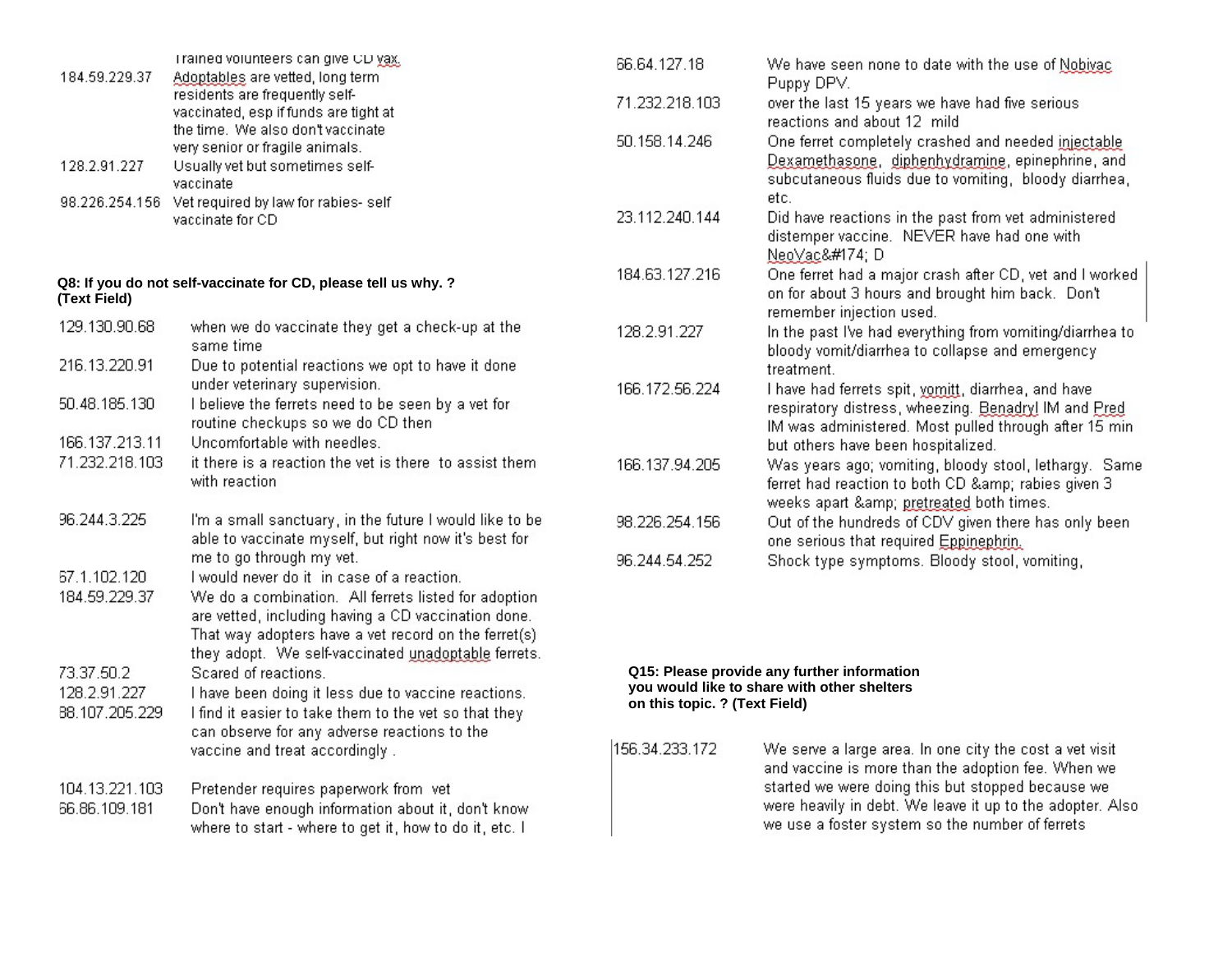| 184.59.229.37                                | Trained volunteers can give CD yax.<br>Adoptables are vetted, long term                                                                                                                                                                                                                              | 66.64.127.18                                                                                                                | We have seen none to date with the use of Nobiyac<br>Puppy DPV.                                                                                                                        |  |
|----------------------------------------------|------------------------------------------------------------------------------------------------------------------------------------------------------------------------------------------------------------------------------------------------------------------------------------------------------|-----------------------------------------------------------------------------------------------------------------------------|----------------------------------------------------------------------------------------------------------------------------------------------------------------------------------------|--|
|                                              | residents are frequently self-<br>vaccinated, esp if funds are tight at                                                                                                                                                                                                                              | 71.232.218.103                                                                                                              | over the last 15 years we have had five serious<br>reactions and about 12 mild                                                                                                         |  |
| 128.2.91.227                                 | the time. We also don't vaccinate<br>very senior or fragile animals.<br>Usually vet but sometimes self-<br>vaccinate                                                                                                                                                                                 | 50.158.14.246                                                                                                               | One ferret completely crashed and needed injectable<br>Dexamethasone, diphenhydramine, epinephrine, and<br>subcutaneous fluids due to vomiting, bloody diarrhea,                       |  |
|                                              | 98.226.254.156 Vet required by law for rabies- self<br>vaccinate for CD                                                                                                                                                                                                                              | 23.112.240.144                                                                                                              | etc.<br>Did have reactions in the past from vet administered<br>distemper vaccine. NEVER have had one with<br>NeoVac® D                                                                |  |
| (Text Field)                                 | Q8: If you do not self-vaccinate for CD, please tell us why. ?                                                                                                                                                                                                                                       | 184.63.127.216                                                                                                              | One ferret had a major crash after CD, vet and I worked<br>on for about 3 hours and brought him back. Don't<br>remember injection used.                                                |  |
| 129.130.90.68                                | when we do vaccinate they get a check-up at the<br>same time                                                                                                                                                                                                                                         | 128.2.91.227                                                                                                                | In the past I've had everything from vomiting/diarrhea to<br>bloody vomit/diarrhea to collapse and emergency                                                                           |  |
| 216.13.220.91                                | Due to potential reactions we opt to have it done<br>under veterinary supervision.                                                                                                                                                                                                                   |                                                                                                                             | treatment.                                                                                                                                                                             |  |
| 50.48.185.130<br>166.137.213.11              | I believe the ferrets need to be seen by a vet for<br>routine checkups so we do CD then<br>Uncomfortable with needles.                                                                                                                                                                               | 166.172.56.224                                                                                                              | I have had ferrets spit, yomitt, diarrhea, and have<br>respiratory distress, wheezing. Benadryl IM and Pred<br>IM was administered. Most pulled through after 15 min.                  |  |
| 71.232.218.103                               | it there is a reaction the vet is there to assist them<br>with reaction                                                                                                                                                                                                                              | 166.137.94.205                                                                                                              | but others have been hospitalized.<br>Was years ago; vomiting, bloody stool, lethargy. Same<br>ferret had reaction to both CD & rabies given 3<br>weeks apart & pretreated both times. |  |
| 96.244.3.225                                 | I'm a small sanctuary, in the future I would like to be<br>able to vaccinate myself, but right now it's best for                                                                                                                                                                                     | 98.226.254.156                                                                                                              | Out of the hundreds of CDV given there has only been<br>one serious that required Eppinephrin.                                                                                         |  |
| 67.1.102.120<br>184.59.229.37                | me to go through my vet.<br>I would never do it in case of a reaction.<br>We do a combination. All ferrets listed for adoption<br>are vetted, including having a CD vaccination done.<br>That way adopters have a vet record on the ferret(s)<br>they adopt. We self-vaccinated unadoptable ferrets. | 96.244.54.252                                                                                                               | Shock type symptoms. Bloody stool, vomiting,                                                                                                                                           |  |
| 73.37.50.2<br>128.2.91.227<br>88.107.205.229 | Scared of reactions.<br>I have been doing it less due to vaccine reactions.<br>I find it easier to take them to the vet so that they<br>can observe for any adverse reactions to the                                                                                                                 | Q15: Please provide any further information<br>you would like to share with other shelters<br>on this topic. ? (Text Field) |                                                                                                                                                                                        |  |
| 104.13.221.103                               | vaccine and treat accordingly.<br>Pretender requires paperwork from vet                                                                                                                                                                                                                              | 156.34.233.172                                                                                                              | We serve a large area. In one city the cost a vet visit<br>and vaccine is more than the adoption fee. When we<br>started we were doing this but stopped because we                     |  |
| 66.86.109.181                                | Don't have enough information about it, don't know<br>where to start - where to get it, how to do it, etc. I                                                                                                                                                                                         |                                                                                                                             | were heavily in debt. We leave it up to the adopter. Also<br>we use a foster system so the number of ferrets                                                                           |  |